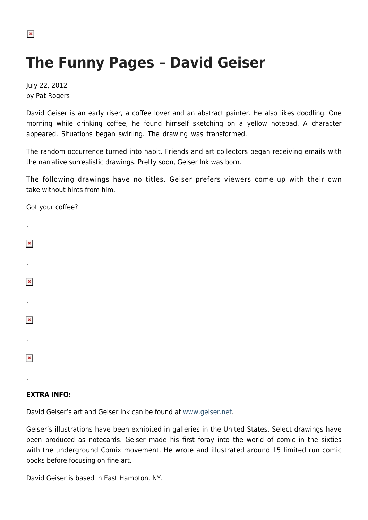## $\pmb{\times}$

## **The Funny Pages – David Geiser**

July 22, 2012 by Pat Rogers

David Geiser is an early riser, a coffee lover and an abstract painter. He also likes doodling. One morning while drinking coffee, he found himself sketching on a yellow notepad. A character appeared. Situations began swirling. The drawing was transformed.

The random occurrence turned into habit. Friends and art collectors began receiving emails with the narrative surrealistic drawings. Pretty soon, Geiser Ink was born.

The following drawings have no titles. Geiser prefers viewers come up with their own take without hints from him.

Got your coffee?

| ٠                  |  |  |  |
|--------------------|--|--|--|
| $\pmb{\mathsf{x}}$ |  |  |  |
| ٠                  |  |  |  |
| $\pmb{\mathsf{x}}$ |  |  |  |
| ٠                  |  |  |  |
| $\pmb{\times}$     |  |  |  |
| ٠                  |  |  |  |
| $\pmb{\mathsf{x}}$ |  |  |  |
| ٠                  |  |  |  |

## **EXTRA INFO:**

David Geiser's art and Geiser Ink can be found at [www.geiser.net](http://www.geiser.net/davidgeiser/index.html).

Geiser's illustrations have been exhibited in galleries in the United States. Select drawings have been produced as notecards. Geiser made his first foray into the world of comic in the sixties with the underground Comix movement. He wrote and illustrated around 15 limited run comic books before focusing on fine art.

David Geiser is based in East Hampton, NY.